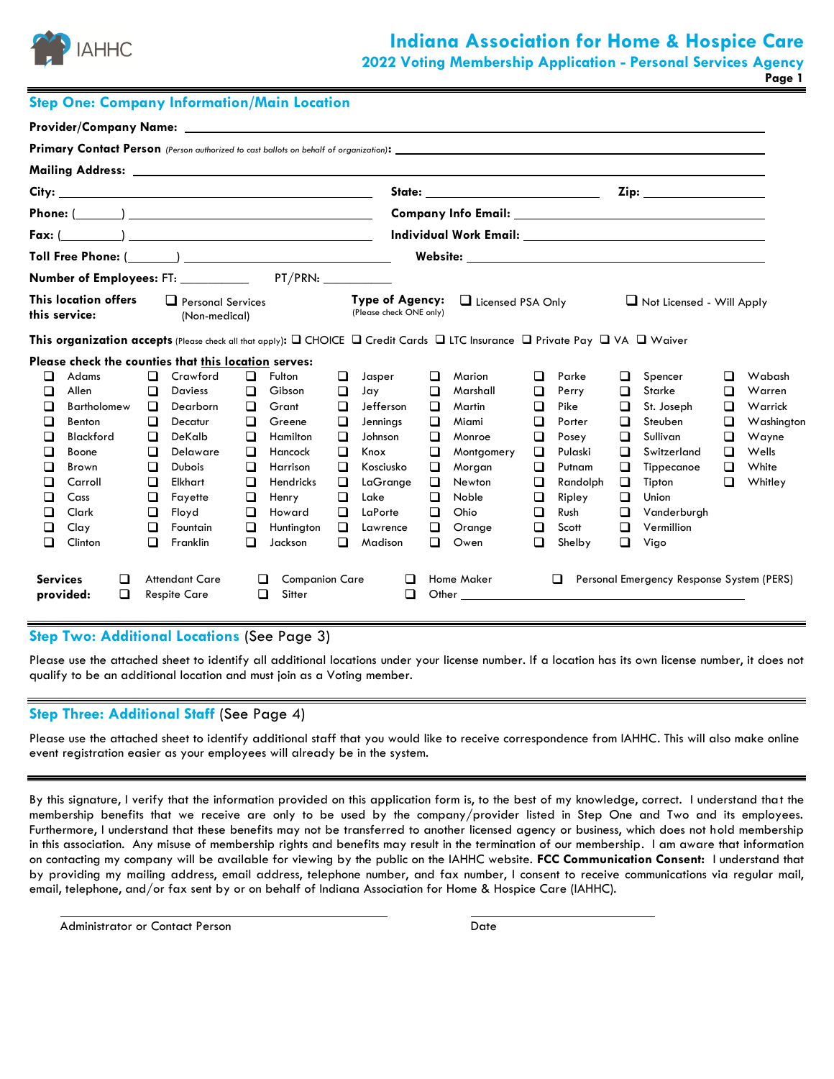

**2022 Voting Membership Application - Personal Services Agency**

**Page 1**

|                                                               | <b>Primary Contact Person</b> (Person authorized to cast ballots on behalf of organization):                                                               |                                                                                                       |                                                                                                                                                 |                                                                                   |                                                                                                                                 |                                                                                                  |                                                                                                                              |                                                                    |                                                                                                                      |                                                                                   |                                                                                                                 |                                                                    |                                                                                                                                                                                                                                |                                           |                                                                                 |
|---------------------------------------------------------------|------------------------------------------------------------------------------------------------------------------------------------------------------------|-------------------------------------------------------------------------------------------------------|-------------------------------------------------------------------------------------------------------------------------------------------------|-----------------------------------------------------------------------------------|---------------------------------------------------------------------------------------------------------------------------------|--------------------------------------------------------------------------------------------------|------------------------------------------------------------------------------------------------------------------------------|--------------------------------------------------------------------|----------------------------------------------------------------------------------------------------------------------|-----------------------------------------------------------------------------------|-----------------------------------------------------------------------------------------------------------------|--------------------------------------------------------------------|--------------------------------------------------------------------------------------------------------------------------------------------------------------------------------------------------------------------------------|-------------------------------------------|---------------------------------------------------------------------------------|
|                                                               |                                                                                                                                                            |                                                                                                       |                                                                                                                                                 |                                                                                   |                                                                                                                                 |                                                                                                  |                                                                                                                              |                                                                    |                                                                                                                      |                                                                                   |                                                                                                                 |                                                                    |                                                                                                                                                                                                                                |                                           |                                                                                 |
|                                                               |                                                                                                                                                            |                                                                                                       |                                                                                                                                                 |                                                                                   |                                                                                                                                 |                                                                                                  |                                                                                                                              |                                                                    |                                                                                                                      |                                                                                   |                                                                                                                 |                                                                    | Zip: the contract of the contract of the contract of the contract of the contract of the contract of the contract of the contract of the contract of the contract of the contract of the contract of the contract of the contr |                                           |                                                                                 |
|                                                               |                                                                                                                                                            |                                                                                                       |                                                                                                                                                 |                                                                                   |                                                                                                                                 |                                                                                                  |                                                                                                                              |                                                                    |                                                                                                                      |                                                                                   |                                                                                                                 |                                                                    | Company Info Email: New York Company Info Email:                                                                                                                                                                               |                                           |                                                                                 |
|                                                               | Fax: $($ $)$                                                                                                                                               |                                                                                                       |                                                                                                                                                 |                                                                                   |                                                                                                                                 |                                                                                                  |                                                                                                                              |                                                                    |                                                                                                                      |                                                                                   |                                                                                                                 |                                                                    | Individual Work Email: New York of the United States of the United States and States and States and                                                                                                                            |                                           |                                                                                 |
|                                                               |                                                                                                                                                            |                                                                                                       |                                                                                                                                                 |                                                                                   |                                                                                                                                 |                                                                                                  |                                                                                                                              |                                                                    |                                                                                                                      |                                                                                   |                                                                                                                 |                                                                    |                                                                                                                                                                                                                                |                                           |                                                                                 |
|                                                               |                                                                                                                                                            |                                                                                                       |                                                                                                                                                 |                                                                                   |                                                                                                                                 |                                                                                                  |                                                                                                                              |                                                                    |                                                                                                                      |                                                                                   |                                                                                                                 |                                                                    |                                                                                                                                                                                                                                |                                           |                                                                                 |
|                                                               | This location offers<br>this service:                                                                                                                      |                                                                                                       | $\Box$ Personal Services<br>(Non-medical)                                                                                                       |                                                                                   |                                                                                                                                 |                                                                                                  | (Please check ONE only)                                                                                                      |                                                                    | Type of Agency: I Licensed PSA Only                                                                                  |                                                                                   |                                                                                                                 |                                                                    | $\Box$ Not Licensed - Will Apply                                                                                                                                                                                               |                                           |                                                                                 |
|                                                               | This organization accepts (Please check all that apply): $\Box$ CHOICE $\Box$ Credit Cards $\Box$ LTC Insurance $\Box$ Private Pay $\Box$ VA $\Box$ Waiver |                                                                                                       |                                                                                                                                                 |                                                                                   |                                                                                                                                 |                                                                                                  |                                                                                                                              |                                                                    |                                                                                                                      |                                                                                   |                                                                                                                 |                                                                    |                                                                                                                                                                                                                                |                                           |                                                                                 |
|                                                               | Please check the counties that this location serves:                                                                                                       |                                                                                                       |                                                                                                                                                 |                                                                                   |                                                                                                                                 |                                                                                                  |                                                                                                                              |                                                                    |                                                                                                                      |                                                                                   |                                                                                                                 |                                                                    |                                                                                                                                                                                                                                |                                           |                                                                                 |
| $\Box$<br>□<br>□<br>❏<br>□<br>□<br>□<br>□<br>❏<br>◻<br>□<br>□ | Adams<br>Allen<br><b>Bartholomew</b><br>Benton<br>Blackford<br>Boone<br>Brown<br>Carroll<br>Cass<br>Clark<br>Clay<br>Clinton                               | $\Box$<br>□<br>$\Box$<br>$\Box$<br>□<br>$\Box$<br>$\Box$<br>$\Box$<br>□<br>$\Box$<br>$\Box$<br>$\Box$ | Crawford<br><b>Daviess</b><br>Dearborn<br>Decatur<br>DeKalb<br>Delaware<br><b>Dubois</b><br>Elkhart<br>Fayette<br>Floyd<br>Fountain<br>Franklin | ப<br>□<br>$\Box$<br>ப<br>◻<br>$\Box$<br>$\Box$<br>□<br>□<br>□<br>$\Box$<br>$\Box$ | Fulton<br>Gibson<br>Grant<br>Greene<br>Hamilton<br>Hancock<br>Harrison<br>Hendricks<br>Henry<br>Howard<br>Huntington<br>Jackson | $\Box$<br>$\Box$<br>$\Box$<br>□<br>□<br>$\Box$<br>□<br>$\Box$<br>$\Box$<br>□<br>$\Box$<br>$\Box$ | Jasper<br>Jay<br>Jefferson<br>Jennings<br>Johnson<br>Knox<br>Kosciusko<br>LaGrange<br>Lake<br>LaPorte<br>Lawrence<br>Madison | □<br>□<br>□<br>□<br>◻<br>$\Box$<br>□<br>□<br>□<br>◻<br>$\Box$<br>□ | Marion<br>Marshall<br>Martin<br>Miami<br>Monroe<br>Montgomery<br>Morgan<br>Newton<br>Noble<br>Ohio<br>Orange<br>Owen | $\Box$<br>□<br>□<br>□<br>$\Box$<br>$\Box$<br>□<br>❏<br>❏<br>□<br>$\Box$<br>$\Box$ | Parke<br>Perry<br>Pike<br>Porter<br>Posey<br>Pulaski<br>Putnam<br>Randolph<br>Ripley<br>Rush<br>Scott<br>Shelby | ◻<br>□<br>□<br>□<br>◻<br>□<br>□<br>$\Box$<br>□<br>◻<br>□<br>$\Box$ | Spencer<br>Starke<br>St. Joseph<br>Steuben<br>Sullivan<br>Switzerland<br>Tippecanoe<br>Tipton<br>Union<br>Vanderburgh<br>Vermillion<br>Vigo                                                                                    | □<br>□<br>□<br>□<br>□<br>$\Box$<br>□<br>□ | Wabash<br>Warren<br>Warrick<br>Washington<br>Wayne<br>Wells<br>White<br>Whitley |
| <b>Services</b>                                               | ப<br>provided:<br>$\Box$                                                                                                                                   |                                                                                                       | Attendant Care<br><b>Respite Care</b>                                                                                                           | □                                                                                 | <b>Companion Care</b><br>ப<br>Sitter                                                                                            |                                                                                                  | □<br>□                                                                                                                       |                                                                    | Home Maker                                                                                                           |                                                                                   | □                                                                                                               |                                                                    | Personal Emergency Response System (PERS)                                                                                                                                                                                      |                                           |                                                                                 |

**Step Two: Additional Locations** (See Page 3)

Please use the attached sheet to identify all additional locations under your license number. If a location has its own license number, it does not qualify to be an additional location and must join as a Voting member.

### **Step Three: Additional Staff** (See Page 4)

Please use the attached sheet to identify additional staff that you would like to receive correspondence from IAHHC. This will also make online event registration easier as your employees will already be in the system.

By this signature, I verify that the information provided on this application form is, to the best of my knowledge, correct. I understand that the membership benefits that we receive are only to be used by the company/provider listed in Step One and Two and its employees. Furthermore, I understand that these benefits may not be transferred to another licensed agency or business, which does not hold membership in this association. Any misuse of membership rights and benefits may result in the termination of our membership. I am aware that information on contacting my company will be available for viewing by the public on the IAHHC website. **FCC Communication Consent:** I understand that by providing my mailing address, email address, telephone number, and fax number, I consent to receive communications via regular mail, email, telephone, and/or fax sent by or on behalf of Indiana Association for Home & Hospice Care (IAHHC).

Administrator or Contact Person Date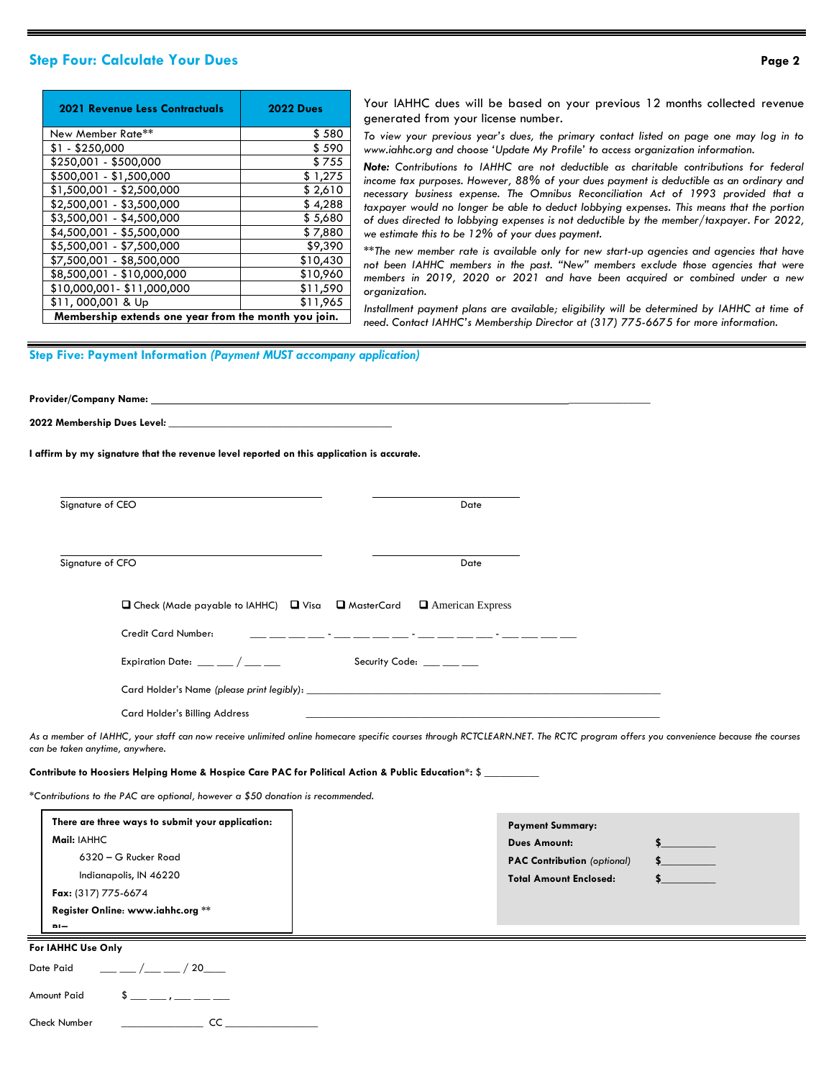# **Step Four: Calculate Your Dues Page 2**

| <b>2021 Revenue Less Contractuals</b>                | <b>2022 Dues</b> |
|------------------------------------------------------|------------------|
| New Member Rate**                                    | \$580            |
| \$1 - \$250,000                                      | \$ 590           |
| \$250,001 - \$500,000                                | \$755            |
| \$500,001 - \$1,500,000                              | \$ 1,275         |
| \$1,500,001 - \$2,500,000                            | \$2,610          |
| \$2,500,001 - \$3,500,000                            | \$4,288          |
| \$3,500,001 - \$4,500,000                            | \$5,680          |
| \$4,500,001 - \$5,500,000                            | \$7,880          |
| \$5,500,001 - \$7,500,000                            | \$9,390          |
| \$7,500,001 - \$8,500,000                            | \$10,430         |
| \$8,500,001 - \$10,000,000                           | \$10,960         |
| \$10,000,001-\$11,000,000                            | \$11,590         |
| \$11,000,001 & Up                                    | \$11,965         |
| Membership extends one year from the month you join. |                  |

Your IAHHC dues will be based on your previous 12 months collected revenue generated from your license number.

*To view your previous year's dues, the primary contact listed on page one may log in to www.iahhc.org and choose 'Update My Profile' to access organization information.*

*Note: Contributions to IAHHC are not deductible as charitable contributions for federal income tax purposes. However, 88% of your dues payment is deductible as an ordinary and necessary business expense. The Omnibus Reconciliation Act of 1993 provided that a taxpayer would no longer be able to deduct lobbying expenses. This means that the portion of dues directed to lobbying expenses is not deductible by the member/taxpayer. For 2022, we estimate this to be 12% of your dues payment.*

*\*\*The new member rate is available only for new start-up agencies and agencies that have not been IAHHC members in the past. "New" members exclude those agencies that were members in 2019, 2020 or 2021 and have been acquired or combined under a new organization.*

*Installment payment plans are available; eligibility will be determined by IAHHC at time of need. Contact IAHHC's Membership Director at (317) 775-6675 for more information.*

#### **Step Five: Payment Information** *(Payment MUST accompany application)*

| 2022 Membership Dues Level: 2022 Membership Dues Level:                                                                                                                                                                                                                                                           |                                                                |      |                                    |        |  |  |  |  |  |  |  |
|-------------------------------------------------------------------------------------------------------------------------------------------------------------------------------------------------------------------------------------------------------------------------------------------------------------------|----------------------------------------------------------------|------|------------------------------------|--------|--|--|--|--|--|--|--|
| I affirm by my signature that the revenue level reported on this application is accurate.                                                                                                                                                                                                                         |                                                                |      |                                    |        |  |  |  |  |  |  |  |
| Signature of CEO                                                                                                                                                                                                                                                                                                  |                                                                | Date |                                    |        |  |  |  |  |  |  |  |
| Signature of CFO                                                                                                                                                                                                                                                                                                  |                                                                | Date |                                    |        |  |  |  |  |  |  |  |
| □ Check (Made payable to IAHHC) □ Visa □ MasterCard □ American Express                                                                                                                                                                                                                                            |                                                                |      |                                    |        |  |  |  |  |  |  |  |
| <b>Credit Card Number:</b>                                                                                                                                                                                                                                                                                        | <u> 1980 - Jan James Harry, amerikansk politiker (d. 1980)</u> |      |                                    |        |  |  |  |  |  |  |  |
| Expiration Date: $\frac{1}{2}$ $\frac{1}{2}$ $\frac{1}{2}$ $\frac{1}{2}$ $\frac{1}{2}$ $\frac{1}{2}$ $\frac{1}{2}$ $\frac{1}{2}$ $\frac{1}{2}$ $\frac{1}{2}$ $\frac{1}{2}$ $\frac{1}{2}$ $\frac{1}{2}$ $\frac{1}{2}$ $\frac{1}{2}$ $\frac{1}{2}$ $\frac{1}{2}$ $\frac{1}{2}$ $\frac{1}{2}$ $\frac{1}{2}$ $\frac{$ | Security Code: ___ ___ ___                                     |      |                                    |        |  |  |  |  |  |  |  |
|                                                                                                                                                                                                                                                                                                                   |                                                                |      |                                    |        |  |  |  |  |  |  |  |
| <b>Card Holder's Billing Address</b>                                                                                                                                                                                                                                                                              |                                                                |      |                                    |        |  |  |  |  |  |  |  |
| As a member of IAHHC, your staff can now receive unlimited online homecare specific courses through RCTCLEARN.NET. The RCTC program offers you convenience because the courses<br>can be taken anytime, anywhere.                                                                                                 |                                                                |      |                                    |        |  |  |  |  |  |  |  |
| Contribute to Hoosiers Helping Home & Hospice Care PAC for Political Action & Public Education*: \$                                                                                                                                                                                                               |                                                                |      |                                    |        |  |  |  |  |  |  |  |
| *Contributions to the PAC are optional, however a \$50 donation is recommended.                                                                                                                                                                                                                                   |                                                                |      |                                    |        |  |  |  |  |  |  |  |
| There are three ways to submit your application:                                                                                                                                                                                                                                                                  |                                                                |      | <b>Payment Summary:</b>            |        |  |  |  |  |  |  |  |
| Mail: IAHHC                                                                                                                                                                                                                                                                                                       |                                                                |      | <b>Dues Amount:</b>                | $\sim$ |  |  |  |  |  |  |  |
| 6320 - G Rucker Road                                                                                                                                                                                                                                                                                              |                                                                |      | <b>PAC Contribution</b> (optional) | $\sim$ |  |  |  |  |  |  |  |
| Indianapolis, IN 46220                                                                                                                                                                                                                                                                                            |                                                                |      | <b>Total Amount Enclosed:</b>      |        |  |  |  |  |  |  |  |
| Fax: (317) 775-6674                                                                                                                                                                                                                                                                                               |                                                                |      |                                    |        |  |  |  |  |  |  |  |
| Register Online: www.iahhc.org **                                                                                                                                                                                                                                                                                 |                                                                |      |                                    |        |  |  |  |  |  |  |  |
| $n =$                                                                                                                                                                                                                                                                                                             |                                                                |      |                                    |        |  |  |  |  |  |  |  |

#### **For IAHHC Use Only**

| Date Paid          | -20 |
|--------------------|-----|
| <b>Amount Paid</b> |     |

Check Number **CC**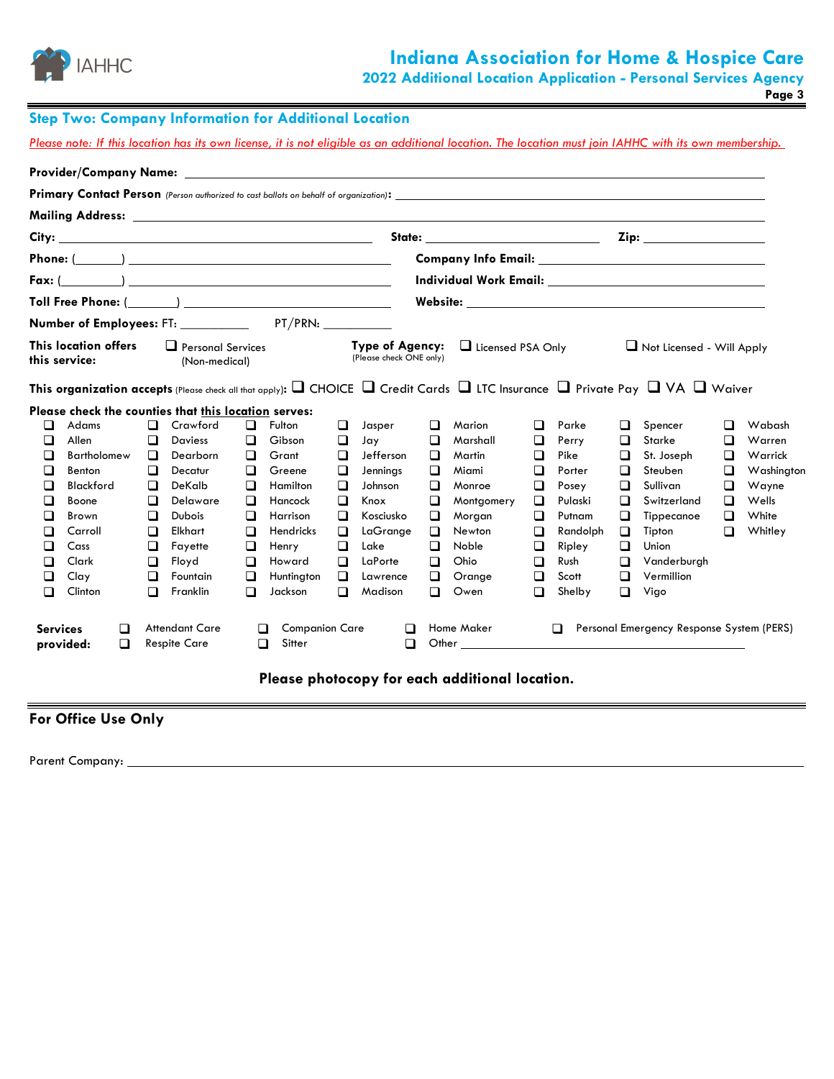

# **Indiana Association for Home & Hospice Care**

**2022 Additional Location Application - Personal Services Agency**

**Page 3**

| <b>Step Two: Company Information for Additional Location</b> |
|--------------------------------------------------------------|
|--------------------------------------------------------------|

*Please note: If this location has its own license, it is not eligible as an additional location. The location must join IAHHC with its own membership.*

|                 | Primary Contact Person (Person authorized to cast ballots on behalf of organization):                                                                                        |        |                                              |        |                                           |        |                                            |        |                          |        |          |        |                                                                                                                  |   |            |
|-----------------|------------------------------------------------------------------------------------------------------------------------------------------------------------------------------|--------|----------------------------------------------|--------|-------------------------------------------|--------|--------------------------------------------|--------|--------------------------|--------|----------|--------|------------------------------------------------------------------------------------------------------------------|---|------------|
|                 | Mailing Address: Universe and Address and Address and Address and Address and Address and Address and Address                                                                |        |                                              |        |                                           |        |                                            |        |                          |        |          |        |                                                                                                                  |   |            |
|                 |                                                                                                                                                                              |        |                                              |        |                                           |        |                                            |        |                          |        |          |        |                                                                                                                  |   |            |
|                 |                                                                                                                                                                              |        |                                              |        |                                           |        |                                            |        |                          |        |          |        |                                                                                                                  |   |            |
|                 |                                                                                                                                                                              |        |                                              |        |                                           |        |                                            |        |                          |        |          |        | Individual Work Email: University of the University of the University of the University of the University of the |   |            |
|                 |                                                                                                                                                                              |        |                                              |        |                                           |        |                                            |        |                          |        |          |        |                                                                                                                  |   |            |
|                 |                                                                                                                                                                              |        |                                              |        |                                           |        |                                            |        |                          |        |          |        |                                                                                                                  |   |            |
|                 | This location offers<br>this service:                                                                                                                                        |        | Personal Services<br>(Non-medical)           |        |                                           |        | Type of Agency:<br>(Please check ONE only) |        | $\Box$ Licensed PSA Only |        |          |        | Not Licensed - Will Apply                                                                                        |   |            |
|                 | This organization accepts (Please check all that apply): $\square$ CHOICE $\square$ Credit Cards $\square$ LTC Insurance $\square$ Private Pay $\square$ VA $\square$ Waiver |        |                                              |        |                                           |        |                                            |        |                          |        |          |        |                                                                                                                  |   |            |
|                 | Please check the counties that this location serves:                                                                                                                         |        |                                              |        |                                           |        |                                            |        |                          |        |          |        |                                                                                                                  |   |            |
| □               | Adams                                                                                                                                                                        | $\Box$ | Crawford                                     | □      | Fulton                                    | ❏      | Jasper                                     | □      | Marion                   | □      | Parke    | □      | Spencer                                                                                                          | ◻ | Wabash     |
| □               | Allen                                                                                                                                                                        | $\Box$ | <b>Daviess</b>                               | □      | Gibson                                    | $\Box$ | Jay                                        | $\Box$ | Marshall                 | □      | Perry    | □      | Starke                                                                                                           | ◻ | Warren     |
| □               | <b>Bartholomew</b>                                                                                                                                                           | $\Box$ | Dearborn                                     | □      | Grant                                     | □      | Jefferson                                  | $\Box$ | Martin                   | □      | Pike     | □      | St. Joseph                                                                                                       | □ | Warrick    |
| □               | Benton                                                                                                                                                                       | $\Box$ | Decatur                                      | $\Box$ | Greene                                    | □      | Jennings                                   | $\Box$ | Miami                    | □      | Porter   | $\Box$ | Steuben                                                                                                          | □ | Washington |
| □               | Blackford                                                                                                                                                                    | $\Box$ | DeKalb                                       | □      | Hamilton                                  | ❏      | Johnson                                    | ❏      | Monroe                   | □      | Posey    | □      | Sullivan                                                                                                         | ❏ | Wayne      |
| ◻               | Boone                                                                                                                                                                        | $\Box$ | Delaware                                     | $\Box$ | Hancock                                   | □      | Knox                                       | ◻      | Montgomery               | □      | Pulaski  | ⊔      | Switzerland                                                                                                      | □ | Wells      |
| □               | Brown                                                                                                                                                                        | $\Box$ | Dubois                                       | $\Box$ | Harrison                                  | □      | Kosciusko                                  | $\Box$ | Morgan                   | $\Box$ | Putnam   | □      | Tippecanoe                                                                                                       | ◻ | White      |
| ◻               | Carroll                                                                                                                                                                      | $\Box$ | Elkhart                                      | □      | Hendricks                                 | ❏      | LaGrange                                   | □      | Newton                   | □      | Randolph | ❏      | Tipton                                                                                                           | □ | Whitley    |
| ◻               | Cass                                                                                                                                                                         | □      | Fayette                                      | □      | Henry                                     | ❏      | Lake                                       | □      | Noble                    | ⊔      | Ripley   | □      | Union                                                                                                            |   |            |
| □               | Clark                                                                                                                                                                        | $\Box$ | Floyd                                        | □      | Howard                                    | $\Box$ | LaPorte                                    | $\Box$ | Ohio                     | □      | Rush     | □      | Vanderburgh                                                                                                      |   |            |
| ◻               | Clay                                                                                                                                                                         | $\Box$ | Fountain                                     | □      | Huntington                                | $\Box$ | Lawrence                                   | □      | Orange                   | □      | Scott    | □      | Vermillion                                                                                                       |   |            |
| ◻               | Clinton                                                                                                                                                                      | □      | Franklin                                     | □      | Jackson                                   | ◻      | Madison                                    | □      | Owen                     | □      | Shelby   | □      | Vigo                                                                                                             |   |            |
| <b>Services</b> | □<br>provided:<br>$\Box$                                                                                                                                                     |        | <b>Attendant Care</b><br><b>Respite Care</b> | □      | <b>Companion Care</b><br>$\Box$<br>Sitter |        | □<br>$\Box$                                |        | Home Maker               |        | $\Box$   |        | Personal Emergency Response System (PERS)                                                                        |   |            |

**Please photocopy for each additional location.**

# **For Office Use Only**

Parent Company: